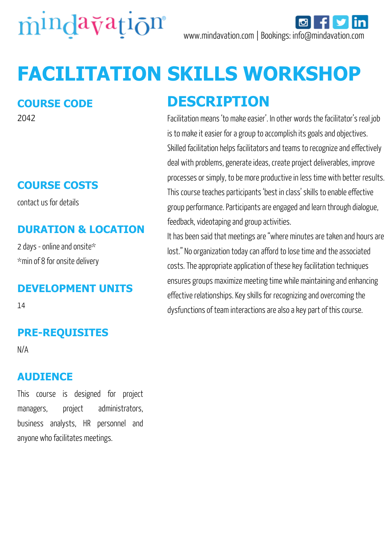

# **FACILITATION SKILLS WORKSHOP**

#### **COURSE CODE**

2042

## **COURSE COSTS**

contact us for details

## **DURATION & LOCATION**

2 days - online and onsite\* \*min of 8 for onsite delivery

#### **DEVELOPMENT UNITS**

14

## **PRE-REQUISITES**

N/A

#### **AUDIENCE**

This course is designed for project managers, project administrators, business analysts, HR personnel and anyone who facilitates meetings.

# **DESCRIPTION**

Facilitation means 'to make easier'. In other words the facilitator's real job is to make it easier for a group to accomplish its goals and objectives. Skilled facilitation helps facilitators and teams to recognize and effectively deal with problems, generate ideas, create project deliverables, improve processes or simply, to be more productive in less time with better results. This course teaches participants 'best in class' skills to enable effective group performance. Participants are engaged and learn through dialogue, feedback, videotaping and group activities.

It has been said that meetings are "where minutes are taken and hours are lost." No organization today can afford to lose time and the associated costs. The appropriate application of these key facilitation techniques ensures groups maximize meeting time while maintaining and enhancing effective relationships. Key skills for recognizing and overcoming the dysfunctions of team interactions are also a key part of this course.